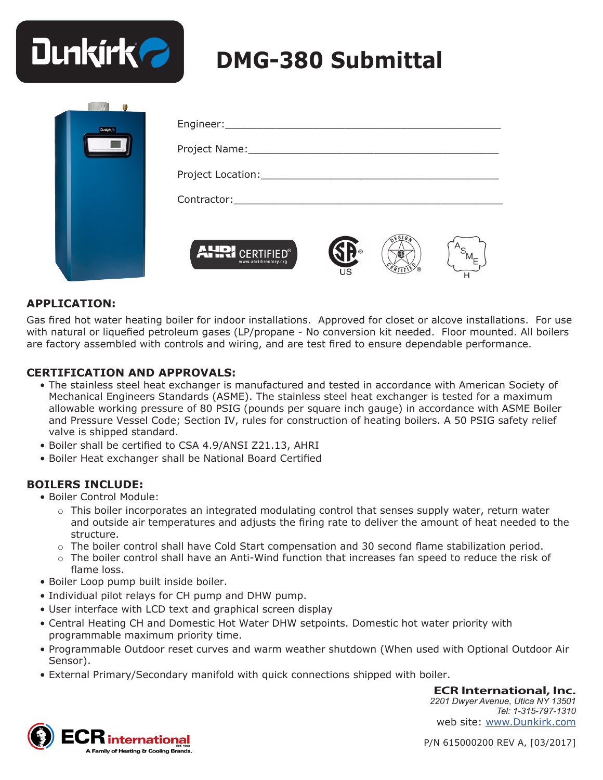

| <b>Dunkirk</b> |                                                            |
|----------------|------------------------------------------------------------|
|                |                                                            |
|                |                                                            |
|                |                                                            |
|                | <b>AHRI CERTIFIED®</b><br>www.ahridirectory.org<br>US<br>н |

### **APPLICATION:**

Gas fired hot water heating boiler for indoor installations. Approved for closet or alcove installations. For use with natural or liquefied petroleum gases (LP/propane - No conversion kit needed. Floor mounted. All boilers are factory assembled with controls and wiring, and are test fired to ensure dependable performance.

#### **CERTIFICATION AND APPROVALS:**

- The stainless steel heat exchanger is manufactured and tested in accordance with American Society of Mechanical Engineers Standards (ASME). The stainless steel heat exchanger is tested for a maximum allowable working pressure of 80 PSIG (pounds per square inch gauge) in accordance with ASME Boiler and Pressure Vessel Code; Section IV, rules for construction of heating boilers. A 50 PSIG safety relief valve is shipped standard.
- Boiler shall be certified to CSA 4.9/ANSI Z21.13, AHRI
- Boiler Heat exchanger shall be National Board Certified

#### **BOILERS INCLUDE:**

- Boiler Control Module:
	- $\circ$  This boiler incorporates an integrated modulating control that senses supply water, return water and outside air temperatures and adjusts the firing rate to deliver the amount of heat needed to the structure.
	- ο The boiler control shall have Cold Start compensation and 30 second flame stabilization period.
	- ο The boiler control shall have an Anti-Wind function that increases fan speed to reduce the risk of flame loss.
- Boiler Loop pump built inside boiler.
- Individual pilot relays for CH pump and DHW pump.
- User interface with LCD text and graphical screen display
- Central Heating CH and Domestic Hot Water DHW setpoints. Domestic hot water priority with programmable maximum priority time.
- Programmable Outdoor reset curves and warm weather shutdown (When used with Optional Outdoor Air Sensor).
- External Primary/Secondary manifold with quick connections shipped with boiler.

**ECR International, Inc.**

*2201 Dwyer Avenue, Utica NY 13501 Tel: 1-315-797-1310* web site: www.Dunkirk.com



P/N 615000200 REV A, [03/2017]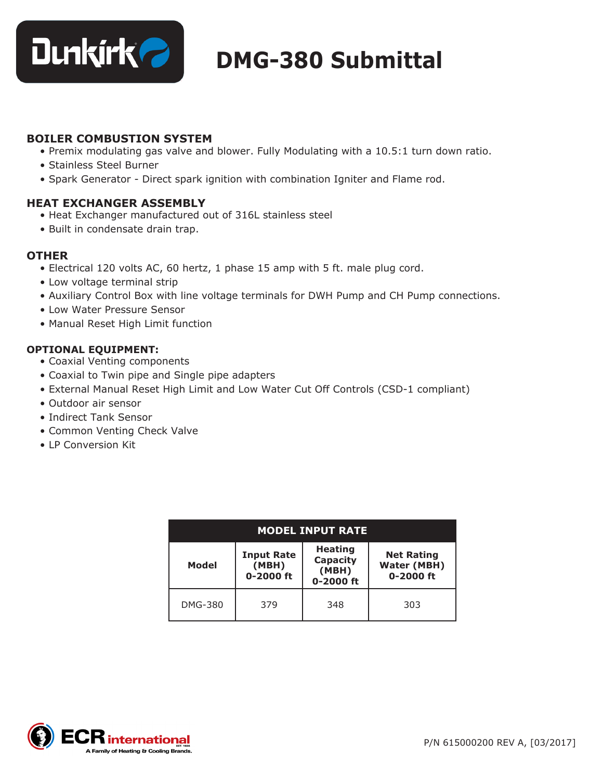

### **BOILER COMBUSTION SYSTEM**

- Premix modulating gas valve and blower. Fully Modulating with a 10.5:1 turn down ratio.
- Stainless Steel Burner
- Spark Generator Direct spark ignition with combination Igniter and Flame rod.

### **HEAT EXCHANGER ASSEMBLY**

- Heat Exchanger manufactured out of 316L stainless steel
- Built in condensate drain trap.

### **OTHER**

- Electrical 120 volts AC, 60 hertz, 1 phase 15 amp with 5 ft. male plug cord.
- Low voltage terminal strip
- Auxiliary Control Box with line voltage terminals for DWH Pump and CH Pump connections.
- Low Water Pressure Sensor
- Manual Reset High Limit function

### **OPTIONAL EQUIPMENT:**

- Coaxial Venting components
- Coaxial to Twin pipe and Single pipe adapters
- External Manual Reset High Limit and Low Water Cut Off Controls (CSD-1 compliant)
- Outdoor air sensor
- Indirect Tank Sensor
- Common Venting Check Valve
- LP Conversion Kit

| <b>MODEL INPUT RATE</b> |                                         |                                                  |                                                          |  |  |  |  |
|-------------------------|-----------------------------------------|--------------------------------------------------|----------------------------------------------------------|--|--|--|--|
| Model                   | <b>Input Rate</b><br>(MBH)<br>0-2000 ft | <b>Heating</b><br>Capacity<br>(MBH)<br>0-2000 ft | <b>Net Rating</b><br><b>Water (MBH)</b><br>$0 - 2000$ ft |  |  |  |  |
| <b>DMG-380</b>          | 379                                     | 348                                              | 303                                                      |  |  |  |  |

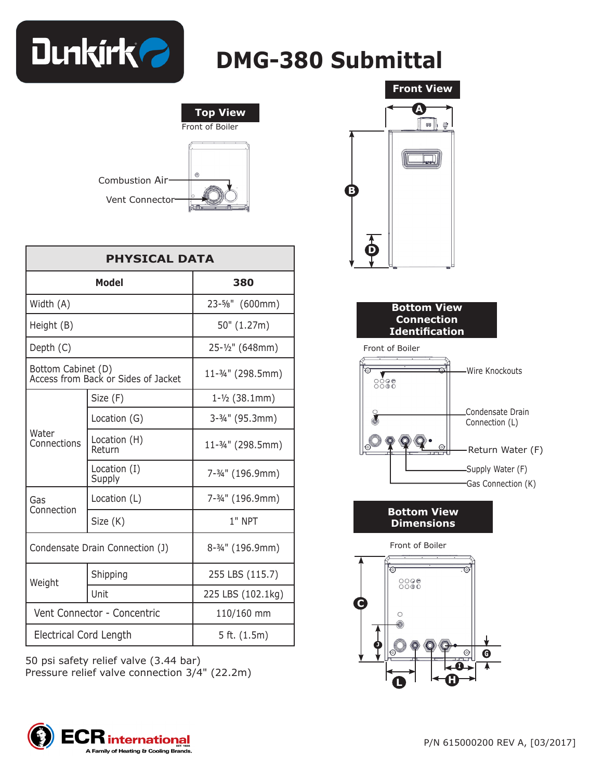



| <b>PHYSICAL DATA</b>                                      |                        |                            |  |  |
|-----------------------------------------------------------|------------------------|----------------------------|--|--|
|                                                           | Model                  | 380                        |  |  |
| Width (A)                                                 |                        | 23-5/8" (600mm)            |  |  |
| Height (B)                                                |                        | 50" (1.27m)                |  |  |
| Depth (C)                                                 |                        | 25-1/2" (648mm)            |  |  |
| Bottom Cabinet (D)<br>Access from Back or Sides of Jacket |                        | 11-3/4" (298.5mm)          |  |  |
|                                                           | Size (F)               | $1 - \frac{1}{2}$ (38.1mm) |  |  |
|                                                           | Location (G)           | 3-3/4" (95.3mm)            |  |  |
| Water<br>Connections                                      | Location (H)<br>Return | 11-3/4" (298.5mm)          |  |  |
|                                                           | Location (I)<br>Supply | 7-3/4" (196.9mm)           |  |  |
| Gas                                                       | Location (L)           | 7-3/4" (196.9mm)           |  |  |
| Connection                                                | Size (K)               | $1"$ NPT                   |  |  |
| Condensate Drain Connection (J)                           |                        | 8-3/4" (196.9mm)           |  |  |
| Weight                                                    | Shipping               | 255 LBS (115.7)            |  |  |
|                                                           | Unit                   | 225 LBS (102.1kg)          |  |  |
| Vent Connector - Concentric                               |                        | 110/160 mm                 |  |  |
| Electrical Cord Length                                    |                        | 5 ft. $(1.5m)$             |  |  |

50 psi safety relief valve (3.44 bar) Pressure relief valve connection 3/4" (22.2m)





**Bottom View Dimensions** 

Front of Boiler



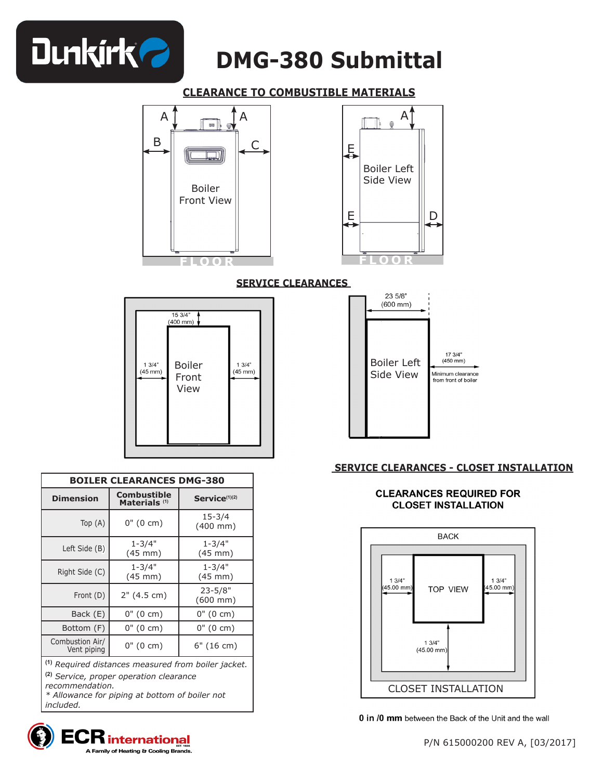

### **CLEARANCE TO COMBUSTIBLE MATERIALS**





**SERVICE CLEARANCES** 



| <b>BOILER CLEARANCES DMG-380</b>                                     |                                                |                                     |  |  |  |
|----------------------------------------------------------------------|------------------------------------------------|-------------------------------------|--|--|--|
| <b>Dimension</b>                                                     | <b>Combustible</b><br>Materials <sup>(1)</sup> | Service <sup>(1)(2)</sup>           |  |  |  |
| Top $(A)$                                                            | 0" (0 cm)                                      | $15 - 3/4$<br>$(400 \, \text{mm})$  |  |  |  |
| Left Side (B)                                                        | $1 - 3/4"$<br>$(45$ mm $)$                     | $1 - 3/4"$<br>$(45 \text{ mm})$     |  |  |  |
| Right Side (C)                                                       | $1 - 3/4"$<br>$(45$ mm $)$                     | $1 - 3/4"$<br>$(45$ mm $)$          |  |  |  |
| Front (D)                                                            | 2" (4.5 cm)                                    | $23 - 5/8"$<br>$(600 \, \text{mm})$ |  |  |  |
| Back (E)                                                             | $0''(0 \text{ cm})$                            | $0''(0 \text{ cm})$                 |  |  |  |
| Bottom (F)                                                           | 0" (0 cm)                                      | $0''(0 \text{ cm})$                 |  |  |  |
| Combustion Air/<br>Vent piping                                       | 0" (0 cm)                                      | $6"$ (16 cm)                        |  |  |  |
| $\frac{1}{2}$ <i>Dequired distances measured from boiler inclust</i> |                                                |                                     |  |  |  |

**(1)** *Required distances measured from boiler jacket.*

**(2)** *Service, proper operation clearance* 

*recommendation. \* Allowance for piping at bottom of boiler not included.*





### **SERVICE CLEARANCES - CLOSET INSTALLATION**

#### **CLEARANCES REQUIRED FOR CLOSET INSTALLATION**



0 in /0 mm between the Back of the Unit and the wall